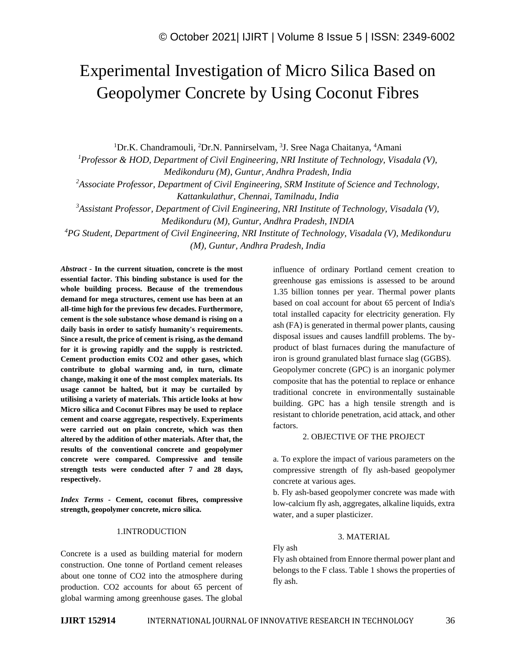# Experimental Investigation of Micro Silica Based on Geopolymer Concrete by Using Coconut Fibres

<sup>1</sup>Dr.K. Chandramouli, <sup>2</sup>Dr.N. Pannirselvam, <sup>3</sup>J. Sree Naga Chaitanya, <sup>4</sup>Amani

*<sup>1</sup>Professor & HOD, Department of Civil Engineering, NRI Institute of Technology, Visadala (V), Medikonduru (M), Guntur, Andhra Pradesh, India* 

*<sup>2</sup>Associate Professor, Department of Civil Engineering, SRM Institute of Science and Technology, Kattankulathur, Chennai, Tamilnadu, India* 

*<sup>3</sup>Assistant Professor, Department of Civil Engineering, NRI Institute of Technology, Visadala (V),* 

*Medikonduru (M), Guntur, Andhra Pradesh, INDIA*

*<sup>4</sup>PG Student, Department of Civil Engineering, NRI Institute of Technology, Visadala (V), Medikonduru* 

*(M), Guntur, Andhra Pradesh, India*

*Abstract -* **In the current situation, concrete is the most essential factor. This binding substance is used for the whole building process. Because of the tremendous demand for mega structures, cement use has been at an all-time high for the previous few decades. Furthermore, cement is the sole substance whose demand is rising on a daily basis in order to satisfy humanity's requirements. Since a result, the price of cement is rising, as the demand for it is growing rapidly and the supply is restricted. Cement production emits CO2 and other gases, which contribute to global warming and, in turn, climate change, making it one of the most complex materials. Its usage cannot be halted, but it may be curtailed by utilising a variety of materials. This article looks at how Micro silica and Coconut Fibres may be used to replace cement and coarse aggregate, respectively. Experiments were carried out on plain concrete, which was then altered by the addition of other materials. After that, the results of the conventional concrete and geopolymer concrete were compared. Compressive and tensile strength tests were conducted after 7 and 28 days, respectively.**

*Index Terms -* **Cement, coconut fibres, compressive strength, geopolymer concrete, micro silica.**

#### 1.INTRODUCTION

Concrete is a used as building material for modern construction. One tonne of Portland cement releases about one tonne of CO2 into the atmosphere during production. CO2 accounts for about 65 percent of global warming among greenhouse gases. The global influence of ordinary Portland cement creation to greenhouse gas emissions is assessed to be around 1.35 billion tonnes per year. Thermal power plants based on coal account for about 65 percent of India's total installed capacity for electricity generation. Fly ash (FA) is generated in thermal power plants, causing disposal issues and causes landfill problems. The byproduct of blast furnaces during the manufacture of iron is ground granulated blast furnace slag (GGBS).

Geopolymer concrete (GPC) is an inorganic polymer composite that has the potential to replace or enhance traditional concrete in environmentally sustainable building. GPC has a high tensile strength and is resistant to chloride penetration, acid attack, and other factors.

#### 2. OBJECTIVE OF THE PROJECT

a. To explore the impact of various parameters on the compressive strength of fly ash-based geopolymer concrete at various ages.

b. Fly ash-based geopolymer concrete was made with low-calcium fly ash, aggregates, alkaline liquids, extra water, and a super plasticizer.

#### 3. MATERIAL

Fly ash

Fly ash obtained from Ennore thermal power plant and belongs to the F class. Table 1 shows the properties of fly ash.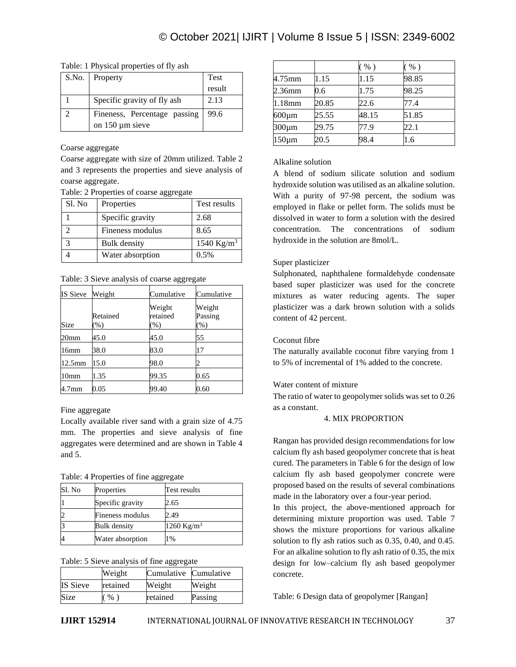Table: 1 Physical properties of fly ash

| S.No. | Property                     | Test   |
|-------|------------------------------|--------|
|       |                              | result |
|       | Specific gravity of fly ash  | 2.13   |
|       | Fineness, Percentage passing | 99.6   |
|       | on $150 \mu m$ sieve         |        |

# Coarse aggregate

Coarse aggregate with size of 20mm utilized. Table 2 and 3 represents the properties and sieve analysis of coarse aggregate.

#### Table: 2 Properties of coarse aggregate

| Sl. No | Properties          | Test results           |
|--------|---------------------|------------------------|
|        | Specific gravity    | 2.68                   |
|        | Fineness modulus    | 8.65                   |
|        | <b>Bulk</b> density | 1540 Kg/m <sup>3</sup> |
|        | Water absorption    | 0.5%                   |

Table: 3 Sieve analysis of coarse aggregate

| IS Sieve          | Weight                    | Cumulative                   | Cumulative                  |
|-------------------|---------------------------|------------------------------|-----------------------------|
| Size              | Retained<br>$\frac{9}{6}$ | Weight<br>retained<br>$(\%)$ | Weight<br>Passing<br>$(\%)$ |
| 20mm              | 45.0                      | 45.0                         | 55                          |
| 16mm              | 38.0                      | 83.0                         | 17                          |
| $12.5$ mm         | 15.0                      | 98.0                         |                             |
| 10 <sub>mm</sub>  | 1.35                      | 99.35                        | 0.65                        |
| 4.7 <sub>mm</sub> | 0.05                      | 99.40                        | 0.60                        |

# Fine aggregate

Locally available river sand with a grain size of 4.75 mm. The properties and sieve analysis of fine aggregates were determined and are shown in Table 4 and 5.

Table: 4 Properties of fine aggregate

| Sl. No | Properties          | Test results           |
|--------|---------------------|------------------------|
|        | Specific gravity    | 2.65                   |
|        | Fineness modulus    | 2.49                   |
|        | <b>Bulk</b> density | 1260 Kg/m <sup>3</sup> |
|        | Water absorption    | 1%                     |

Table: 5 Sieve analysis of fine aggregate

|                 | Weight   | Cumulative Cumulative |         |
|-----------------|----------|-----------------------|---------|
| <b>IS Sieve</b> | retained | Weight                | Weight  |
| Size            | %        | retained              | Passing |

|             |       | $($ %) | $(\%)$ |
|-------------|-------|--------|--------|
| 4.75mm      | 1.15  | 1.15   | 98.85  |
| 2.36mm      | 0.6   | 1.75   | 98.25  |
| 1.18mm      | 20.85 | 22.6   | 77.4   |
| $600 \mu m$ | 25.55 | 48.15  | 51.85  |
| $300 \mu m$ | 29.75 | 77.9   | 22.1   |
| $150 \mu m$ | 20.5  | 98.4   | 1.6    |

# Alkaline solution

A blend of sodium silicate solution and sodium hydroxide solution was utilised as an alkaline solution. With a purity of 97-98 percent, the sodium was employed in flake or pellet form. The solids must be dissolved in water to form a solution with the desired concentration. The concentrations of sodium hydroxide in the solution are 8mol/L.

# Super plasticizer

Sulphonated, naphthalene formaldehyde condensate based super plasticizer was used for the concrete mixtures as water reducing agents. The super plasticizer was a dark brown solution with a solids content of 42 percent.

# Coconut fibre

The naturally available coconut fibre varying from 1 to 5% of incremental of 1% added to the concrete.

# Water content of mixture

The ratio of water to geopolymer solids was set to 0.26 as a constant.

# 4. MIX PROPORTION

Rangan has provided design recommendations for low calcium fly ash based geopolymer concrete that is heat cured. The parameters in Table 6 for the design of low calcium fly ash based geopolymer concrete were proposed based on the results of several combinations made in the laboratory over a four-year period.

In this project, the above-mentioned approach for determining mixture proportion was used. Table 7 shows the mixture proportions for various alkaline solution to fly ash ratios such as 0.35, 0.40, and 0.45. For an alkaline solution to fly ash ratio of 0.35, the mix design for low–calcium fly ash based geopolymer concrete.

Table: 6 Design data of geopolymer [Rangan]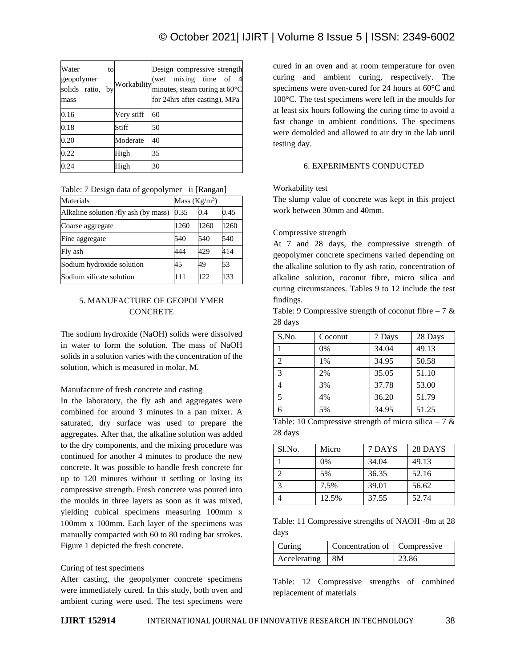# © October 2021| IJIRT | Volume 8 Issue 5 | ISSN: 2349-6002

| Water<br>to<br>geopolymer<br>solids ratio,<br>bv<br>mass | Workability | Design compressive strength<br>(wet mixing time of<br>minutes, steam curing at 60°C<br>for 24hrs after casting), MPa |
|----------------------------------------------------------|-------------|----------------------------------------------------------------------------------------------------------------------|
| 0.16                                                     | Very stiff  | 60                                                                                                                   |
| 0.18                                                     | Stiff       | 50                                                                                                                   |
| 0.20                                                     | Moderate    | 40                                                                                                                   |
| 0.22                                                     | High        | 35                                                                                                                   |
| 0.24                                                     | High        | 30                                                                                                                   |

| Materials                            | Mass $(Kg/m^3)$ |      |      |
|--------------------------------------|-----------------|------|------|
| Alkaline solution /fly ash (by mass) | 0.35            | 0.4  | 0.45 |
| Coarse aggregate                     | 1260            | 1260 | 1260 |
| Fine aggregate                       | 540             | 540  | 540  |
| Fly ash                              | 444             | 429  | 414  |
| Sodium hydroxide solution            | 45              | 49   | 53   |
| Sodium silicate solution             | 111             | 122. | 133  |

|  | Table: 7 Design data of geopolymer -ii [Rangan] |  |
|--|-------------------------------------------------|--|
|  |                                                 |  |

# 5. MANUFACTURE OF GEOPOLYMER **CONCRETE**

The sodium hydroxide (NaOH) solids were dissolved in water to form the solution. The mass of NaOH solids in a solution varies with the concentration of the solution, which is measured in molar, M.

# Manufacture of fresh concrete and casting

In the laboratory, the fly ash and aggregates were combined for around 3 minutes in a pan mixer. A saturated, dry surface was used to prepare the aggregates. After that, the alkaline solution was added to the dry components, and the mixing procedure was continued for another 4 minutes to produce the new concrete. It was possible to handle fresh concrete for up to 120 minutes without it settling or losing its compressive strength. Fresh concrete was poured into the moulds in three layers as soon as it was mixed, yielding cubical specimens measuring 100mm x 100mm x 100mm. Each layer of the specimens was manually compacted with 60 to 80 roding bar strokes. Figure 1 depicted the fresh concrete.

#### Curing of test specimens

After casting, the geopolymer concrete specimens were immediately cured. In this study, both oven and ambient curing were used. The test specimens were cured in an oven and at room temperature for oven curing and ambient curing, respectively. The specimens were oven-cured for 24 hours at 60°C and 100°C. The test specimens were left in the moulds for at least six hours following the curing time to avoid a fast change in ambient conditions. The specimens were demolded and allowed to air dry in the lab until testing day.

#### 6. EXPERIMENTS CONDUCTED

#### Workability test

The slump value of concrete was kept in this project work between 30mm and 40mm.

#### Compressive strength

At 7 and 28 days, the compressive strength of geopolymer concrete specimens varied depending on the alkaline solution to fly ash ratio, concentration of alkaline solution, coconut fibre, micro silica and curing circumstances. Tables 9 to 12 include the test findings.

Table: 9 Compressive strength of coconut fibre  $-7 \&$ 28 days

| S.No.          | Coconut | 7 Days | 28 Days |
|----------------|---------|--------|---------|
|                | 0%      | 34.04  | 49.13   |
| $\overline{2}$ | 1%      | 34.95  | 50.58   |
| 3              | 2%      | 35.05  | 51.10   |
|                | 3%      | 37.78  | 53.00   |
| 5              | 4%      | 36.20  | 51.79   |
|                | 5%      | 34.95  | 51.25   |

Table: 10 Compressive strength of micro silica – 7  $\&$ 28 days

| Sl.No. | Micro | 7 DAYS | 28 DAYS |
|--------|-------|--------|---------|
|        | 0%    | 34.04  | 49.13   |
|        | 5%    | 36.35  | 52.16   |
|        | 7.5%  | 39.01  | 56.62   |
|        | 12.5% | 37.55  | 52.74   |

Table: 11 Compressive strengths of NAOH -8m at 28 days

| Curing       | Concentration of   Compressive |       |
|--------------|--------------------------------|-------|
| Accelerating | $\overline{8M}$                | 23.86 |
|              |                                |       |

Table: 12 Compressive strengths of combined replacement of materials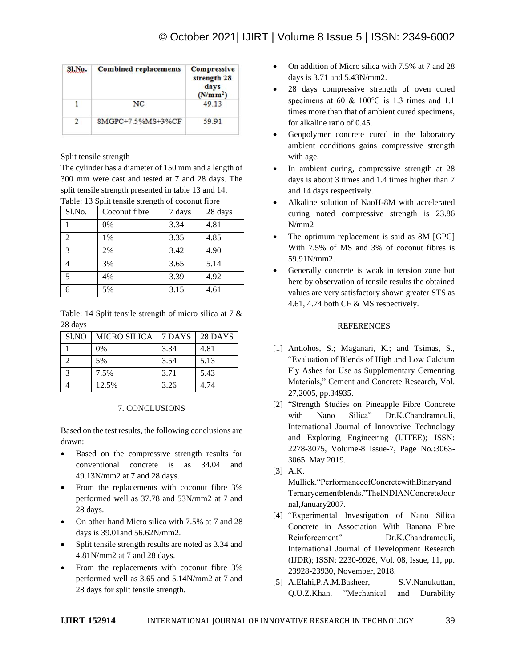| SLNo.         | <b>Combined replacements</b> | Compressive<br>strength 28<br>days<br>(N/mm <sup>2</sup> ) |
|---------------|------------------------------|------------------------------------------------------------|
|               | NC.                          | 49.13                                                      |
| $\mathcal{D}$ | 8MGPC+7.5%MS+3%CF            | 59.91                                                      |

Split tensile strength

The cylinder has a diameter of 150 mm and a length of 300 mm were cast and tested at 7 and 28 days. The split tensile strength presented in table 13 and 14.

| Sl.No.         | Coconut fibre | 7 days | 28 days |
|----------------|---------------|--------|---------|
|                | 0%            | 3.34   | 4.81    |
| $\overline{2}$ | 1%            | 3.35   | 4.85    |
| 3              | 2%            | 3.42   | 4.90    |
|                | 3%            | 3.65   | 5.14    |
| 5              | 4%            | 3.39   | 4.92    |
|                | 5%            | 3.15   | 4.61    |

Table: 13 Split tensile strength of coconut fibre

| Table: 14 Split tensile strength of micro silica at 7 $\&$ |  |  |  |
|------------------------------------------------------------|--|--|--|
| 28 days                                                    |  |  |  |

| S <sub>1</sub> NO | <b>MICRO SILICA</b> | 7 DAYS | 28 DAYS |
|-------------------|---------------------|--------|---------|
|                   | $0\%$               | 3.34   | 4.81    |
|                   | 5%                  | 3.54   | 5.13    |
|                   | 7.5%                | 3.71   | 5.43    |
|                   | 12.5%               | 3.26   | 4.74    |

#### 7. CONCLUSIONS

Based on the test results, the following conclusions are drawn:

- Based on the compressive strength results for conventional concrete is as 34.04 and 49.13N/mm2 at 7 and 28 days.
- From the replacements with coconut fibre 3% performed well as 37.78 and 53N/mm2 at 7 and 28 days.
- On other hand Micro silica with 7.5% at 7 and 28 days is 39.01and 56.62N/mm2.
- Split tensile strength results are noted as 3.34 and 4.81N/mm2 at 7 and 28 days.
- From the replacements with coconut fibre 3% performed well as 3.65 and 5.14N/mm2 at 7 and 28 days for split tensile strength.
- On addition of Micro silica with 7.5% at 7 and 28 days is 3.71 and 5.43N/mm2.
- 28 days compressive strength of oven cured specimens at 60 & 100℃ is 1.3 times and 1.1 times more than that of ambient cured specimens, for alkaline ratio of 0.45.
- Geopolymer concrete cured in the laboratory ambient conditions gains compressive strength with age.
- In ambient curing, compressive strength at 28 days is about 3 times and 1.4 times higher than 7 and 14 days respectively.
- Alkaline solution of NaoH-8M with accelerated curing noted compressive strength is 23.86 N/mm2
- The optimum replacement is said as 8M [GPC] With 7.5% of MS and 3% of coconut fibres is 59.91N/mm2.
- Generally concrete is weak in tension zone but here by observation of tensile results the obtained values are very satisfactory shown greater STS as 4.61, 4.74 both CF & MS respectively.

# REFERENCES

- [1] Antiohos, S.; Maganari, K.; and Tsimas, S., "Evaluation of Blends of High and Low Calcium Fly Ashes for Use as Supplementary Cementing Materials," Cement and Concrete Research, Vol. 27,2005, pp.34935.
- [2] "Strength Studies on Pineapple Fibre Concrete with Nano Silica" Dr.K.Chandramouli, International Journal of Innovative Technology and Exploring Engineering (IJITEE); ISSN: 2278-3075, Volume-8 Issue-7, Page No.:3063- 3065. May 2019.
- [3] A.K. Mullick."PerformanceofConcretewithBinaryand Ternarycementblends."TheINDIANConcreteJour nal,January2007.
- [4] "Experimental Investigation of Nano Silica Concrete in Association With Banana Fibre Reinforcement" Dr.K.Chandramouli, International Journal of Development Research (IJDR); ISSN: 2230-9926, Vol. 08, Issue, 11, pp. 23928-23930, November, 2018.
- [5] A.Elahi,P.A.M.Basheer, S.V.Nanukuttan, Q.U.Z.Khan. "Mechanical and Durability